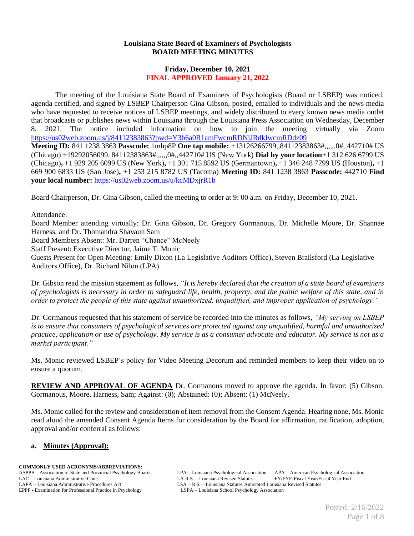## **Louisiana State Board of Examiners of Psychologists BOARD MEETING MINUTES**

## **Friday, December 10, 2021 FINAL APPROVED January 21, 2022**

The meeting of the Louisiana State Board of Examiners of Psychologists (Board or LSBEP) was noticed, agenda certified, and signed by LSBEP Chairperson Gina Gibson, posted, emailed to individuals and the news media who have requested to receive notices of LSBEP meetings, and widely distributed to every known news media outlet that broadcasts or publishes news within Louisiana through the Louisiana Press Association on Wednesday, December 8, 2021. The notice included information on how to join the meeting virtually via Zoom <https://us02web.zoom.us/j/84112383863?pwd=Y3h6a0R1amFwcmRDNjJRdkIwcmRDdz09> **Meeting ID:** 841 1238 3863 **Passcode:** 1mhp8P **One tap mobile:** +13126266799,,84112383863#,,,,,,0#,,442710# US

(Chicago) +19292056099, 84112383863#,,,,,,0#,,442710# US (New York) **Dial by your location**+1 312 626 6799 US (Chicago)**,** +1 929 205 6099 US (New York)**,** +1 301 715 8592 US (Germantown)**,** +1 346 248 7799 US (Houston)**,** +1 669 900 6833 US (San Jose)**,** +1 253 215 8782 US (Tacoma) **Meeting ID:** 841 1238 3863 **Passcode:** 442710 **Find your local number:** <https://us02web.zoom.us/u/kcMDxjrR1b>

Board Chairperson, Dr. Gina Gibson, called the meeting to order at 9: 00 a.m. on Friday, December 10, 2021.

Attendance:

Board Member attending virtually: Dr. Gina Gibson, Dr. Gregory Gormanous, Dr. Michelle Moore, Dr. Shannae Harness, and Dr. Thomandra Shavaun Sam

Board Members Absent: Mr. Darren "Chance" McNeely

Staff Present: Executive Director, Jaime T. Monic

Guests Present for Open Meeting: Emily Dixon (La Legislative Auditors Office), Steven Brailsford (La Legislative Auditors Office), Dr. Richard Nilon (LPA).

Dr. Gibson read the mission statement as follows, *"It is hereby declared that the creation of a state board of examiners of psychologists is necessary in order to safeguard life, health, property, and the public welfare of this state, and in order to protect the people of this state against unauthorized, unqualified, and improper application of psychology."*

Dr. Gormanous requested that his statement of service be recorded into the minutes as follows, *"My serving on LSBEP is to ensure that consumers of psychological services are protected against any unqualified, harmful and unauthorized practice, application or use of psychology. My service is as a consumer advocate and educator. My service is not as a market participant."*

Ms. Monic reviewed LSBEP's policy for Video Meeting Decorum and reminded members to keep their video on to ensure a quorum.

**REVIEW AND APPROVAL OF AGENDA** Dr. Gormanous moved to approve the agenda. In favor: (5) Gibson, Gormanous, Moore, Harness, Sam; Against: (0); Abstained: (0); Absent: (1) McNeely.

Ms. Monic called for the review and consideration of item removal from the Consent Agenda. Hearing none, Ms. Monic read aloud the amended Consent Agenda Items for consideration by the Board for affirmation, ratification, adoption, approval and/or conferral as follows:

## **a. Minutes (Approval):**

#### **COMMONLY USED ACRONYMS/ABBREVIATIONS:**

EPPP - Examination for Professional Practice in Psychology

ASPPB – Association of State and Provincial Psychology Boards LPA – Louisiana Psychological Association APA – American Psychological Association LA R.S. – Louisiana Administrative Code LA R.S. – Louisiana Revised Statutes FY/FYE-Fiscal Year/Fiscal Year End<br>LAPA – Louisiana Administrative Procedures Act LSA – R.S. – Louisiana Statutes Annotated Louisiana Revised Sta LSA – R.S. – Louisiana Statutes Annotated Louisiana Revised Statutes LSPA – Louisiana School Psychology Association

> Posted: 2/16/2022 Page 1 of 8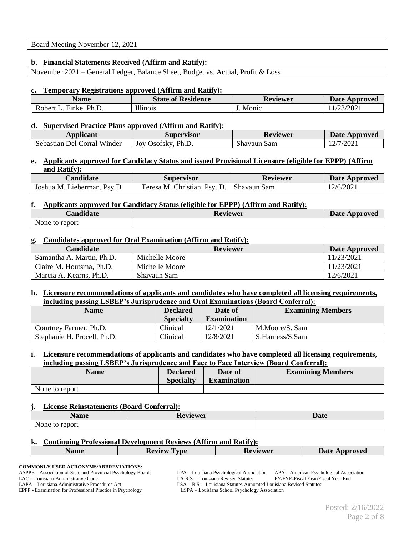## Board Meeting November 12, 2021

## **b. Financial Statements Received (Affirm and Ratify):**

November 2021 – General Ledger, Balance Sheet, Budget vs. Actual, Profit & Loss

### **c. Temporary Registrations approved (Affirm and Ratify):**

| Name                     | <b>State of Residence</b> | Reviewer | <b>Date Approved</b>             |
|--------------------------|---------------------------|----------|----------------------------------|
| Ph.L.<br>Robert<br>Finke | T11'<br>11111101S         | Monic    | 3/2021<br>$\mathsf{L}\mathsf{L}$ |

#### **d. Supervised Practice Plans approved (Affirm and Ratify):**

| <b>Applicant</b>            | Supervisor           | <b>Reviewer</b> | Date Approved |
|-----------------------------|----------------------|-----------------|---------------|
| Sebastian Del Corral Winder | Ph.D<br>Jov Osofsky. | Shavaun Sam     | 2/7/2021      |

## **e. Applicants approved for Candidacy Status and issued Provisional Licensure (eligible for EPPP) (Affirm and Ratify):**

| <b>Landidate</b>            | Supervisor                         | Reviewer    | <b>Date Approved</b> |
|-----------------------------|------------------------------------|-------------|----------------------|
| Joshua M. Lieberman, Psv.D. | Christian,<br>$P_{SV}$<br>eresa M. | Shavaun Sam | 12/6/2021            |

## **f. Applicants approved for Candidacy Status (eligible for EPPP) (Affirm and Ratify):**

| <b>Candidate</b> | <b>Reviewer</b> | <b>Date Approved</b> |
|------------------|-----------------|----------------------|
| None to report   |                 |                      |

#### **g. Candidates approved for Oral Examination (Affirm and Ratify):**

| <b>Candidate</b>          | <b>Reviewer</b> | <b>Date Approved</b> |
|---------------------------|-----------------|----------------------|
| Samantha A. Martin, Ph.D. | Michelle Moore  | 11/23/2021           |
| Claire M. Houtsma, Ph.D.  | Michelle Moore  | 11/23/2021           |
| Marcia A. Kearns, Ph.D.   | Shavaun Sam     | 12/6/2021            |

### **h. Licensure recommendations of applicants and candidates who have completed all licensing requirements, including passing LSBEP's Jurisprudence and Oral Examinations (Board Conferral):**

| <b>Name</b>                 | <b>Declared</b><br><b>Specialty</b> | Date of<br><b>Examination</b> | <b>Examining Members</b> |
|-----------------------------|-------------------------------------|-------------------------------|--------------------------|
| Courtney Farmer, Ph.D.      | Clinical                            | 12/1/2021                     | M.Moore/S. Sam           |
| Stephanie H. Procell, Ph.D. | Clinical                            | 12/8/2021                     | S.Harness/S.Sam          |

#### **i. Licensure recommendations of applicants and candidates who have completed all licensing requirements, including passing LSBEP's Jurisprudence and Face to Face Interview (Board Conferral):**

| Name           | <b>Declared</b><br><b>Specialty</b> | Date of<br><b>Examination</b> | <b>Examining Members</b> |
|----------------|-------------------------------------|-------------------------------|--------------------------|
| None to report |                                     |                               |                          |

### **j. License Reinstatements (Board Conferral):**

| Name                     | <b>ATHATTAM</b><br>,,,<br>$W_{L}$ | Date |
|--------------------------|-----------------------------------|------|
| N<br>report<br>vone<br>Ю |                                   |      |

#### **k. Continuing Professional Development Reviews (Affirm and Ratify):**

| $\blacksquare$<br><b>TIMA</b><br><b>REAR</b> | itiatiap | Date<br>mravad<br>7 U.L |
|----------------------------------------------|----------|-------------------------|
|                                              |          |                         |

#### **COMMONLY USED ACRONYMS/ABBREVIATIONS:**

ASPPB – Association of State and Provincial Psychology Boards LPA – Louisiana Psychological Association APA – American Psychological Association LAPA – Louisiana Administrative Procedures Act LSA – R.S. – Louisiana Statutes Annotated Louisiana Revised Statutes EPPP - Examination for Professional Practice in Psychology (LSPA – Louisiana School Psychology Association EPPP - Examination for Professional Practice in Psychology

LAC – Louisiana Administrative Code LA R.S. – Louisiana Revised Statutes FY/FYE-Fiscal Year/Fiscal Year End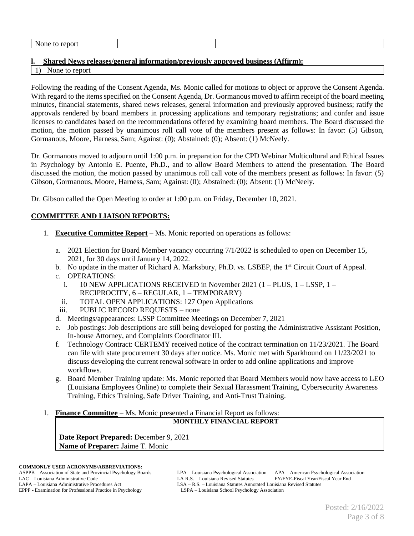| None<br>report<br>w |  |  |
|---------------------|--|--|
|                     |  |  |

## **l. Shared News releases/general information/previously approved business (Affirm):**

None to report

Following the reading of the Consent Agenda, Ms. Monic called for motions to object or approve the Consent Agenda. With regard to the items specified on the Consent Agenda, Dr. Gormanous moved to affirm receipt of the board meeting minutes, financial statements, shared news releases, general information and previously approved business; ratify the approvals rendered by board members in processing applications and temporary registrations; and confer and issue licenses to candidates based on the recommendations offered by examining board members. The Board discussed the motion, the motion passed by unanimous roll call vote of the members present as follows: In favor: (5) Gibson, Gormanous, Moore, Harness, Sam; Against: (0); Abstained: (0); Absent: (1) McNeely.

Dr. Gormanous moved to adjourn until 1:00 p.m. in preparation for the CPD Webinar Multicultural and Ethical Issues in Psychology by Antonio E. Puente, Ph.D., and to allow Board Members to attend the presentation. The Board discussed the motion, the motion passed by unanimous roll call vote of the members present as follows: In favor: (5) Gibson, Gormanous, Moore, Harness, Sam; Against: (0); Abstained: (0); Absent: (1) McNeely.

Dr. Gibson called the Open Meeting to order at 1:00 p.m. on Friday, December 10, 2021.

# **COMMITTEE AND LIAISON REPORTS:**

- 1. **Executive Committee Report** Ms. Monic reported on operations as follows:
	- a. 2021 Election for Board Member vacancy occurring 7/1/2022 is scheduled to open on December 15, 2021, for 30 days until January 14, 2022.
	- b. No update in the matter of Richard A. Marksbury, Ph.D. vs. LSBEP, the 1<sup>st</sup> Circuit Court of Appeal.
	- c. OPERATIONS:
		- i.  $10$  NEW APPLICATIONS RECEIVED in November 2021 (1 PLUS,  $1 -$ LSSP,  $1 -$ RECIPROCITY, 6 – REGULAR, 1 – TEMPORARY)
		- ii. TOTAL OPEN APPLICATIONS: 127 Open Applications
	- iii. PUBLIC RECORD REQUESTS none
	- d. Meetings/appearances: LSSP Committee Meetings on December 7, 2021
	- e. Job postings: Job descriptions are still being developed for posting the Administrative Assistant Position, In-house Attorney, and Complaints Coordinator III.
	- f. Technology Contract: CERTEMY received notice of the contract termination on 11/23/2021. The Board can file with state procurement 30 days after notice. Ms. Monic met with Sparkhound on 11/23/2021 to discuss developing the current renewal software in order to add online applications and improve workflows.
	- g. Board Member Training update: Ms. Monic reported that Board Members would now have access to LEO (Louisiana Employees Online) to complete their Sexual Harassment Training, Cybersecurity Awareness Training, Ethics Training, Safe Driver Training, and Anti-Trust Training.
- 1. **Finance Committee** Ms. Monic presented a Financial Report as follows:

## **MONTHLY FINANCIAL REPORT**

**Date Report Prepared:** December 9, 2021 **Name of Preparer:** Jaime T. Monic

ASPPB – Association of State and Provincial Psychology Boards LPA – Louisiana Psychological Association APA – American Psychological Association LAC – Louisiana Administrative Code LA R.S. – Louisiana Revised Statutes FY/FYE-Fiscal Year/Fiscal Year End LAPA – Louisiana Administrative Procedures Act LSA – R.S. – Louisiana Statutes Annotated Louisiana Revised Statutes<br>EPPP - Examination for Professional Practice in Psychology Kasociation<br>LSPA – Louisiana School Psychology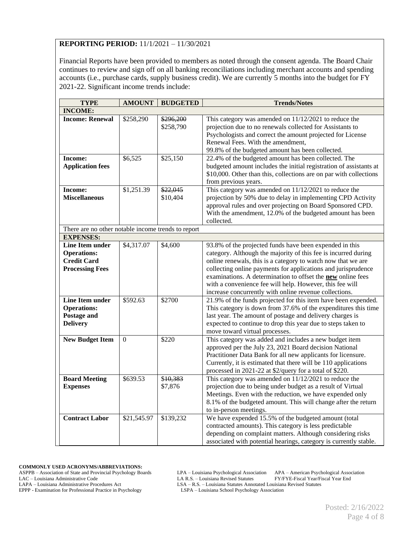## **REPORTING PERIOD:** 11/1/2021 – 11/30/2021

Financial Reports have been provided to members as noted through the consent agenda. The Board Chair continues to review and sign off on all banking reconciliations including merchant accounts and spending accounts (i.e., purchase cards, supply business credit). We are currently 5 months into the budget for FY 2021-22. Significant income trends include:

| <b>TYPE</b>                                                                                  | <b>AMOUNT</b> | <b>BUDGETED</b>        | <b>Trends/Notes</b>                                                                                                                                                                                                                                                                                                                                                                                                                                    |
|----------------------------------------------------------------------------------------------|---------------|------------------------|--------------------------------------------------------------------------------------------------------------------------------------------------------------------------------------------------------------------------------------------------------------------------------------------------------------------------------------------------------------------------------------------------------------------------------------------------------|
| <b>INCOME:</b>                                                                               |               |                        |                                                                                                                                                                                                                                                                                                                                                                                                                                                        |
| <b>Income: Renewal</b>                                                                       | \$258,290     | \$296,200<br>\$258,790 | This category was amended on $11/12/2021$ to reduce the<br>projection due to no renewals collected for Assistants to<br>Psychologists and correct the amount projected for License<br>Renewal Fees. With the amendment,<br>99.8% of the budgeted amount has been collected.                                                                                                                                                                            |
| Income:<br><b>Application fees</b>                                                           | \$6,525       | \$25,150               | 22.4% of the budgeted amount has been collected. The<br>budgeted amount includes the initial registration of assistants at<br>\$10,000. Other than this, collections are on par with collections<br>from previous years.                                                                                                                                                                                                                               |
| <b>Income:</b><br><b>Miscellaneous</b>                                                       | \$1,251.39    | \$22,045<br>\$10,404   | This category was amended on $11/12/2021$ to reduce the<br>projection by 50% due to delay in implementing CPD Activity<br>approval rules and over projecting on Board Sponsored CPD.<br>With the amendment, 12.0% of the budgeted amount has been<br>collected.                                                                                                                                                                                        |
| There are no other notable income trends to report                                           |               |                        |                                                                                                                                                                                                                                                                                                                                                                                                                                                        |
| <b>EXPENSES:</b>                                                                             |               |                        |                                                                                                                                                                                                                                                                                                                                                                                                                                                        |
| <b>Line Item under</b><br><b>Operations:</b><br><b>Credit Card</b><br><b>Processing Fees</b> | \$4,317.07    | \$4,600                | 93.8% of the projected funds have been expended in this<br>category. Although the majority of this fee is incurred during<br>online renewals, this is a category to watch now that we are<br>collecting online payments for applications and jurisprudence<br>examinations. A determination to offset the <b>new</b> online fees<br>with a convenience fee will help. However, this fee will<br>increase concurrently with online revenue collections. |
| <b>Line Item under</b><br><b>Operations:</b><br>Postage and<br><b>Delivery</b>               | \$592.63      | \$2700                 | 21.9% of the funds projected for this item have been expended.<br>This category is down from 37.6% of the expenditures this time<br>last year. The amount of postage and delivery charges is<br>expected to continue to drop this year due to steps taken to<br>move toward virtual processes.                                                                                                                                                         |
| <b>New Budget Item</b>                                                                       | $\Omega$      | \$220                  | This category was added and includes a new budget item<br>approved per the July 23, 2021 Board decision National<br>Practitioner Data Bank for all new applicants for licensure.<br>Currently, it is estimated that there will be 110 applications<br>processed in 2021-22 at \$2/query for a total of \$220.                                                                                                                                          |
| <b>Board Meeting</b><br><b>Expenses</b>                                                      | \$639.53      | \$10,383<br>\$7,876    | This category was amended on $11/12/2021$ to reduce the<br>projection due to being under budget as a result of Virtual<br>Meetings. Even with the reduction, we have expended only<br>8.1% of the budgeted amount. This will change after the return<br>to in-person meetings.                                                                                                                                                                         |
| <b>Contract Labor</b>                                                                        | \$21,545.97   | \$139,232              | We have expended 15.5% of the budgeted amount (total<br>contracted amounts). This category is less predictable<br>depending on complaint matters. Although considering risks<br>associated with potential hearings, category is currently stable.                                                                                                                                                                                                      |

**COMMONLY USED ACRONYMS/ABBREVIATIONS:**

ASPPB – Association of State and Provincial Psychology Boards LPA – Louisiana Psychological Association APA – American Psychological Association LAC – Louisiana Administrative Code LA R.S. – Louisiana Revised Statutes FY/FYE-Fiscal Year/Fiscal Year End<br>LAPA – Louisiana Administrative Procedures Act LSA – R.S. – Louisiana Statutes Annotated Louisiana Revised Statute

EPPP - Examination for Professional Practice in Psychology

LSA – R.S. – Louisiana Statutes Annotated Louisiana Revised Statutes LSPA – Louisiana School Psychology Association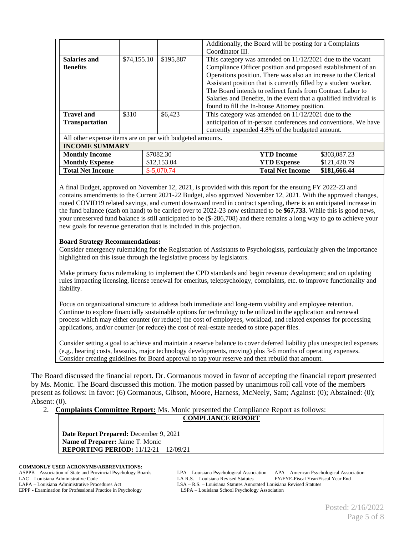|                                                           |             |                                                                 | Additionally, the Board will be posting for a Complaints    |                                                                    |                                                                |
|-----------------------------------------------------------|-------------|-----------------------------------------------------------------|-------------------------------------------------------------|--------------------------------------------------------------------|----------------------------------------------------------------|
|                                                           |             |                                                                 | Coordinator III.                                            |                                                                    |                                                                |
| Salaries and                                              | \$74,155.10 | \$195,887                                                       | This category was amended on $11/12/2021$ due to the vacant |                                                                    |                                                                |
| <b>Benefits</b>                                           |             |                                                                 |                                                             | Compliance Officer position and proposed establishment of an       |                                                                |
|                                                           |             |                                                                 |                                                             | Operations position. There was also an increase to the Clerical    |                                                                |
|                                                           |             |                                                                 |                                                             | Assistant position that is currently filled by a student worker.   |                                                                |
|                                                           |             |                                                                 |                                                             | The Board intends to redirect funds from Contract Labor to         |                                                                |
|                                                           |             |                                                                 |                                                             | Salaries and Benefits, in the event that a qualified individual is |                                                                |
|                                                           |             |                                                                 |                                                             | found to fill the In-house Attorney position.                      |                                                                |
| <b>Travel and</b>                                         | \$310       | This category was amended on $11/12/2021$ due to the<br>\$6,423 |                                                             |                                                                    |                                                                |
| <b>Transportation</b>                                     |             |                                                                 |                                                             |                                                                    | anticipation of in-person conferences and conventions. We have |
|                                                           |             |                                                                 | currently expended 4.8% of the budgeted amount.             |                                                                    |                                                                |
| All other expense items are on par with budgeted amounts. |             |                                                                 |                                                             |                                                                    |                                                                |
| <b>INCOME SUMMARY</b>                                     |             |                                                                 |                                                             |                                                                    |                                                                |
| <b>Monthly Income</b>                                     |             | \$7082.30                                                       |                                                             | <b>YTD</b> Income                                                  | \$303,087.23                                                   |
| <b>Monthly Expense</b>                                    |             | \$12,153.04                                                     |                                                             | <b>YTD Expense</b>                                                 | \$121,420.79                                                   |
| <b>Total Net Income</b>                                   |             | \$181,666.44<br><b>Total Net Income</b><br>$$-5,070.74$         |                                                             |                                                                    |                                                                |

A final Budget, approved on November 12, 2021, is provided with this report for the ensuing FY 2022-23 and contains amendments to the Current 2021-22 Budget, also approved November 12, 2021. With the approved changes, noted COVID19 related savings, and current downward trend in contract spending, there is an anticipated increase in the fund balance (cash on hand) to be carried over to 2022-23 now estimated to be **\$67,733**. While this is good news, your unreserved fund balance is still anticipated to be (\$-286,708) and there remains a long way to go to achieve your new goals for revenue generation that is included in this projection.

## **Board Strategy Recommendations:**

Consider emergency rulemaking for the Registration of Assistants to Psychologists, particularly given the importance highlighted on this issue through the legislative process by legislators.

Make primary focus rulemaking to implement the CPD standards and begin revenue development; and on updating rules impacting licensing, license renewal for emeritus, telepsychology, complaints, etc. to improve functionality and liability.

Focus on organizational structure to address both immediate and long-term viability and employee retention. Continue to explore financially sustainable options for technology to be utilized in the application and renewal process which may either counter (or reduce) the cost of employees, workload, and related expenses for processing applications, and/or counter (or reduce) the cost of real-estate needed to store paper files.

Consider setting a goal to achieve and maintain a reserve balance to cover deferred liability plus unexpected expenses (e.g., hearing costs, lawsuits, major technology developments, moving) plus 3-6 months of operating expenses. Consider creating guidelines for Board approval to tap your reserve and then rebuild that amount.

The Board discussed the financial report. Dr. Gormanous moved in favor of accepting the financial report presented by Ms. Monic. The Board discussed this motion. The motion passed by unanimous roll call vote of the members present as follows: In favor: (6) Gormanous, Gibson, Moore, Harness, McNeely, Sam; Against: (0); Abstained: (0); Absent: (0).

2. **Complaints Committee Report:** Ms. Monic presented the Compliance Report as follows:

### **COMPLIANCE REPORT**

**Date Report Prepared:** December 9, 2021 **Name of Preparer:** Jaime T. Monic **REPORTING PERIOD:** 11/12/21 – 12/09/21

**COMMONLY USED ACRONYMS/ABBREVIATIONS:** EPPP - Examination for Professional Practice in Psychology

ASPPB – Association of State and Provincial Psychology Boards LPA – Louisiana Psychological Association APA – American Psychological Association LA R.S. – Louisiana Administrative Code LA R.S. – Louisiana Revised Statutes FY/FYE-Fiscal Year/Fiscal Year End<br>LAPA – Louisiana Administrative Procedures Act LSA – R.S. – Louisiana Statutes Annotated Louisiana Revised Sta LSA – R.S. – Louisiana Statutes Annotated Louisiana Revised Statutes LSPA – Louisiana School Psychology Association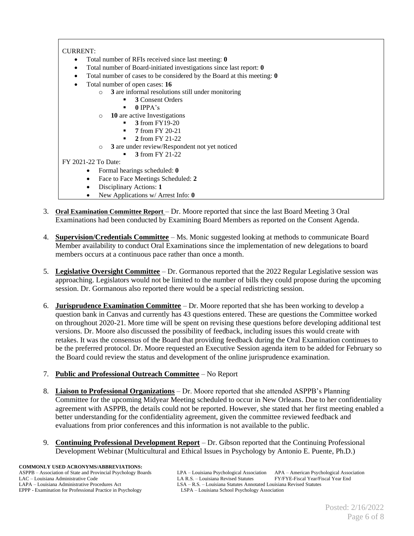## CURRENT:

- Total number of RFIs received since last meeting: **0**
- Total number of Board-initiated investigations since last report: **0**
- Total number of cases to be considered by the Board at this meeting: **0**
- Total number of open cases: **16**
	- o **3** are informal resolutions still under monitoring
		- **3** Consent Orders
		- $0$  IPPA's
	- o **10** are active Investigations
		- **3** from FY19-20
		- **7** from FY 20-21
		- **2** from FY 21-22
	- o **3** are under review/Respondent not yet noticed
		- **3** from FY 21-22

## FY 2021-22 To Date:

- Formal hearings scheduled: **0**
- Face to Face Meetings Scheduled: **2**
- Disciplinary Actions: **1**
- New Applications w/ Arrest Info: **0**
- 3. **Oral Examination Committee Report** Dr. Moore reported that since the last Board Meeting 3 Oral Examinations had been conducted by Examining Board Members as reported on the Consent Agenda.
- 4. **Supervision/Credentials Committee** Ms. Monic suggested looking at methods to communicate Board Member availability to conduct Oral Examinations since the implementation of new delegations to board members occurs at a continuous pace rather than once a month.
- 5. **Legislative Oversight Committee** Dr. Gormanous reported that the 2022 Regular Legislative session was approaching. Legislators would not be limited to the number of bills they could propose during the upcoming session. Dr. Gormanous also reported there would be a special redistricting session.
- 6. **Jurisprudence Examination Committee** Dr. Moore reported that she has been working to develop a question bank in Canvas and currently has 43 questions entered. These are questions the Committee worked on throughout 2020-21. More time will be spent on revising these questions before developing additional test versions. Dr. Moore also discussed the possibility of feedback, including issues this would create with retakes. It was the consensus of the Board that providing feedback during the Oral Examination continues to be the preferred protocol. Dr. Moore requested an Executive Session agenda item to be added for February so the Board could review the status and development of the online jurisprudence examination.
- 7. **Public and Professional Outreach Committee** No Report
- 8. **Liaison to Professional Organizations** Dr. Moore reported that she attended ASPPB's Planning Committee for the upcoming Midyear Meeting scheduled to occur in New Orleans. Due to her confidentiality agreement with ASPPB, the details could not be reported. However, she stated that her first meeting enabled a better understanding for the confidentiality agreement, given the committee reviewed feedback and evaluations from prior conferences and this information is not available to the public.
- 9. **Continuing Professional Development Report** Dr. Gibson reported that the Continuing Professional Development Webinar (Multicultural and Ethical Issues in Psychology by Antonio E. Puente, Ph.D.)

ASPPB – Association of State and Provincial Psychology Boards LPA – Louisiana Psychological Association APA – American Psychological Association LA R.S. – Louisiana Administrative Code LA R.S. – Louisiana Revised Statutes FY/FYE-Fiscal Year/Fiscal Year End<br>LAPA – Louisiana Administrative Procedures Act LSA – R.S. – Louisiana Statutes Annotated Louisiana Revised Sta LSA – R.S. – Louisiana Statutes Annotated Louisiana Revised Statutes LSPA – Louisiana School Psychology Association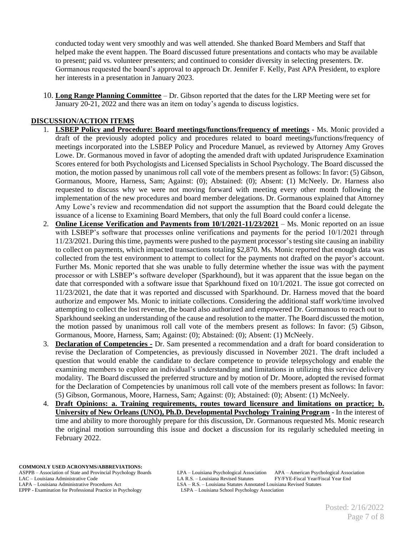conducted today went very smoothly and was well attended. She thanked Board Members and Staff that helped make the event happen. The Board discussed future presentations and contacts who may be available to present; paid vs. volunteer presenters; and continued to consider diversity in selecting presenters. Dr. Gormanous requested the board's approval to approach Dr. Jennifer F. Kelly, Past APA President, to explore her interests in a presentation in January 2023.

10. **Long Range Planning Committee** – Dr. Gibson reported that the dates for the LRP Meeting were set for January 20-21, 2022 and there was an item on today's agenda to discuss logistics.

## **DISCUSSION/ACTION ITEMS**

- 1. **LSBEP Policy and Procedure: Board meetings/functions/frequency of meetings** Ms. Monic provided a draft of the previously adopted policy and procedures related to board meetings/functions/frequency of meetings incorporated into the LSBEP Policy and Procedure Manuel, as reviewed by Attorney Amy Groves Lowe. Dr. Gormanous moved in favor of adopting the amended draft with updated Jurisprudence Examination Scores entered for both Psychologists and Licensed Specialists in School Psychology. The Board discussed the motion, the motion passed by unanimous roll call vote of the members present as follows: In favor: (5) Gibson, Gormanous, Moore, Harness, Sam; Against: (0); Abstained: (0); Absent: (1) McNeely. Dr. Harness also requested to discuss why we were not moving forward with meeting every other month following the implementation of the new procedures and board member delegations. Dr. Gormanous explained that Attorney Amy Lowe's review and recommendation did not support the assumption that the Board could delegate the issuance of a license to Examining Board Members, that only the full Board could confer a license.
- 2. **Online License Verification and Payments from 10/1/2021-11/23/2021** Ms. Monic reported on an issue with LSBEP's software that processes online verifications and payments for the period  $10/1/2021$  through 11/23/2021. During this time, payments were pushed to the payment processor's testing site causing an inability to collect on payments, which impacted transactions totaling \$2,870. Ms. Monic reported that enough data was collected from the test environment to attempt to collect for the payments not drafted on the payor's account. Further Ms. Monic reported that she was unable to fully determine whether the issue was with the payment processor or with LSBEP's software developer (Sparkhound), but it was apparent that the issue began on the date that corresponded with a software issue that Sparkhound fixed on 10/1/2021. The issue got corrected on 11/23/2021, the date that it was reported and discussed with Sparkhound. Dr. Harness moved that the board authorize and empower Ms. Monic to initiate collections. Considering the additional staff work/time involved attempting to collect the lost revenue, the board also authorized and empowered Dr. Gormanous to reach out to Sparkhound seeking an understanding of the cause and resolution to the matter. The Board discussed the motion, the motion passed by unanimous roll call vote of the members present as follows: In favor: (5) Gibson, Gormanous, Moore, Harness, Sam; Against: (0); Abstained: (0); Absent: (1) McNeely.
- 3. **Declaration of Competencies -** Dr. Sam presented a recommendation and a draft for board consideration to revise the Declaration of Competencies, as previously discussed in November 2021. The draft included a question that would enable the candidate to declare competence to provide telepsychology and enable the examining members to explore an individual's understanding and limitations in utilizing this service delivery modality. The Board discussed the preferred structure and by motion of Dr. Moore, adopted the revised format for the Declaration of Competencies by unanimous roll call vote of the members present as follows: In favor: (5) Gibson, Gormanous, Moore, Harness, Sam; Against: (0); Abstained: (0); Absent: (1) McNeely.
- 4. **Draft Opinions: a. Training requirements, routes toward licensure and limitations on practice; b. University of New Orleans (UNO), Ph.D. Developmental Psychology Training Program** - In the interest of time and ability to more thoroughly prepare for this discussion, Dr. Gormanous requested Ms. Monic research the original motion surrounding this issue and docket a discussion for its regularly scheduled meeting in February 2022.

**COMMONLY USED ACRONYMS/ABBREVIATIONS:**

EPPP - Examination for Professional Practice in Psychology

ASPPB – Association of State and Provincial Psychology Boards LPA – Louisiana Psychological Association APA – American Psychological Association LAC – Louisiana Administrative Code LA R.S. – Louisiana Revised Statutes FY/FYE-Fiscal Year/Fiscal Year End<br>LAPA – Louisiana Administrative Procedures Act LSA – R.S. – Louisiana Statutes Annotated Louisiana Revised Statute LSA – R.S. – Louisiana Statutes Annotated Louisiana Revised Statutes LSPA – Louisiana School Psychology Association